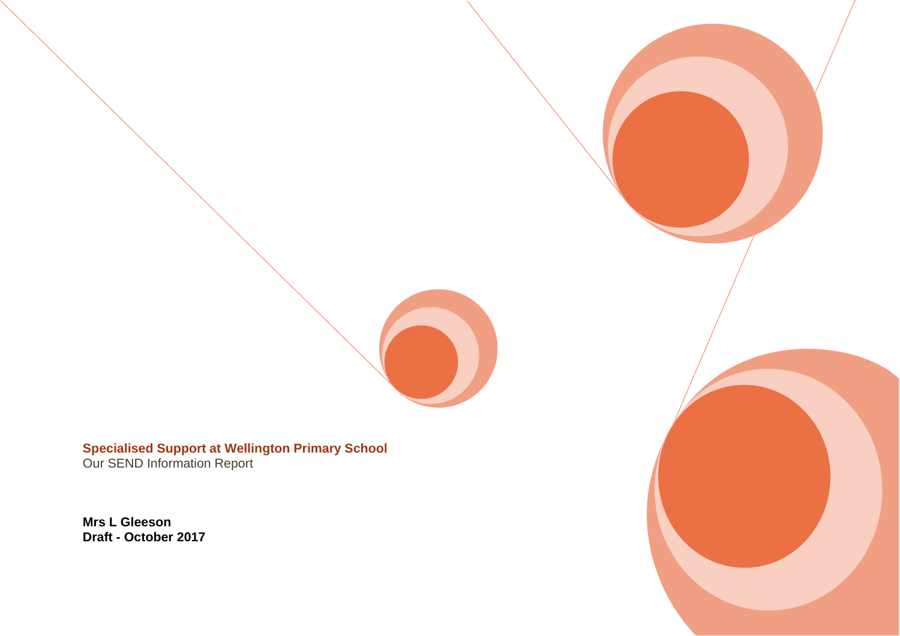

**Specialised Support at Wellington Primary School** Our SEND Information Report

**Mrs L Gleeson Draft - October 2017**

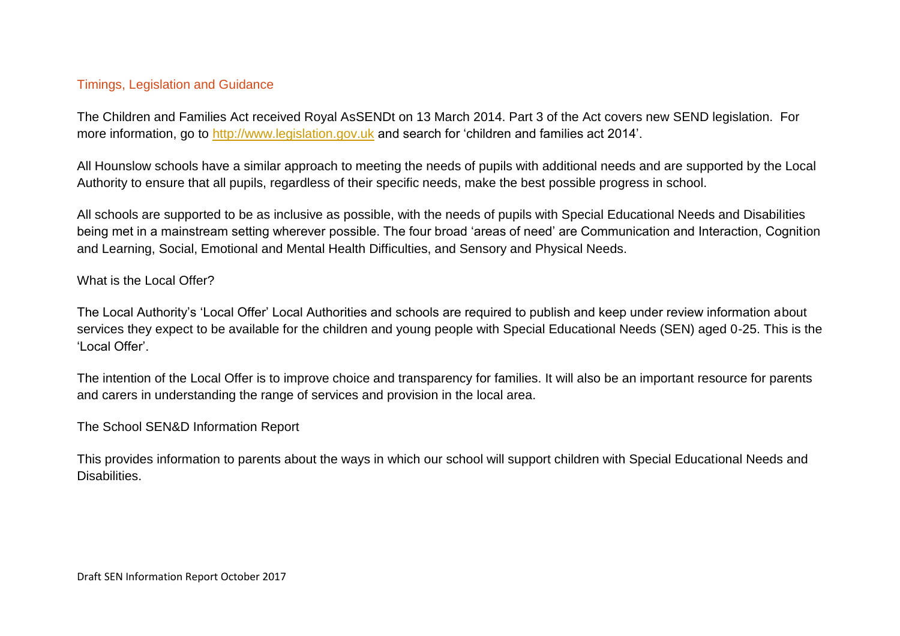### Timings, Legislation and Guidance

The Children and Families Act received Royal AsSENDt on 13 March 2014. Part 3 of the Act covers new SEND legislation. For more information, go to [http://www.legislation.gov.uk](http://www.legislation.gov.uk/) and search for 'children and families act 2014'.

All Hounslow schools have a similar approach to meeting the needs of pupils with additional needs and are supported by the Local Authority to ensure that all pupils, regardless of their specific needs, make the best possible progress in school.

All schools are supported to be as inclusive as possible, with the needs of pupils with Special Educational Needs and Disabilities being met in a mainstream setting wherever possible. The four broad 'areas of need' are Communication and Interaction, Cognition and Learning, Social, Emotional and Mental Health Difficulties, and Sensory and Physical Needs.

### What is the Local Offer?

The Local Authority's 'Local Offer' Local Authorities and schools are required to publish and keep under review information about services they expect to be available for the children and young people with Special Educational Needs (SEN) aged 0-25. This is the 'Local Offer'.

The intention of the Local Offer is to improve choice and transparency for families. It will also be an important resource for parents and carers in understanding the range of services and provision in the local area.

### The School SEN&D Information Report

This provides information to parents about the ways in which our school will support children with Special Educational Needs and Disabilities.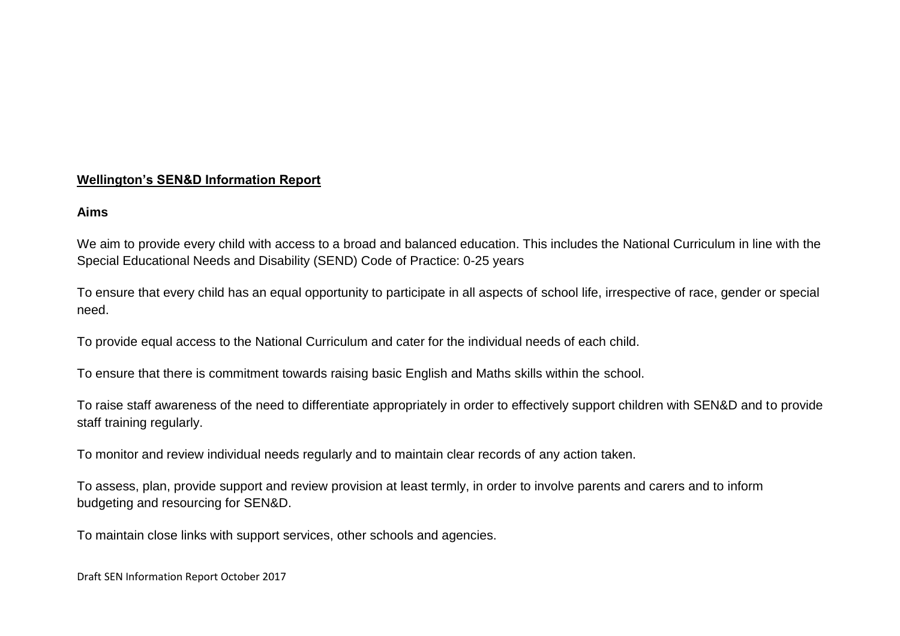### **Wellington's SEN&D Information Report**

#### **Aims**

We aim to provide every child with access to a broad and balanced education. This includes the National Curriculum in line with the Special Educational Needs and Disability (SEND) Code of Practice: 0-25 years

To ensure that every child has an equal opportunity to participate in all aspects of school life, irrespective of race, gender or special need.

To provide equal access to the National Curriculum and cater for the individual needs of each child.

To ensure that there is commitment towards raising basic English and Maths skills within the school.

To raise staff awareness of the need to differentiate appropriately in order to effectively support children with SEN&D and to provide staff training regularly.

To monitor and review individual needs regularly and to maintain clear records of any action taken.

To assess, plan, provide support and review provision at least termly, in order to involve parents and carers and to inform budgeting and resourcing for SEN&D.

To maintain close links with support services, other schools and agencies.

Draft SEN Information Report October 2017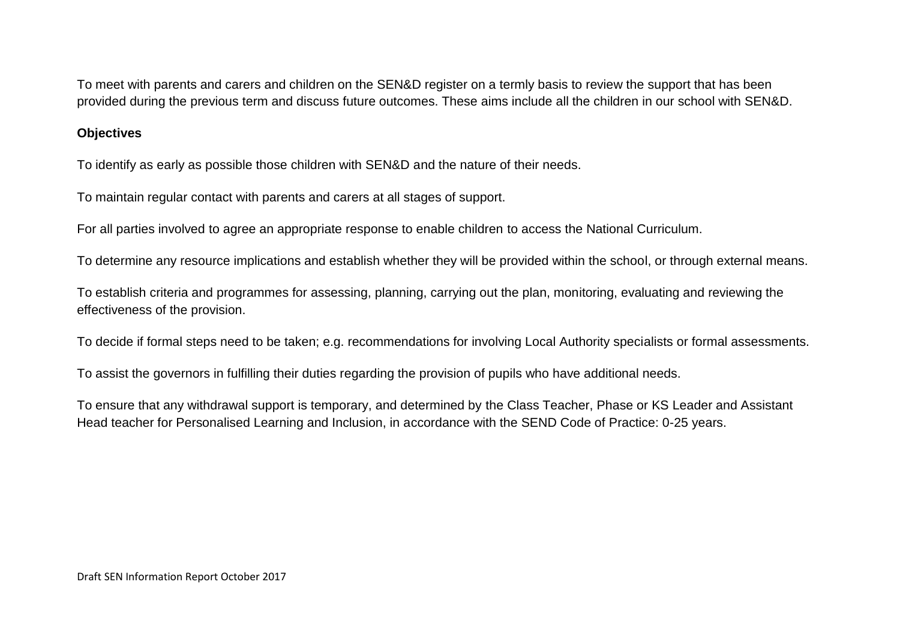To meet with parents and carers and children on the SEN&D register on a termly basis to review the support that has been provided during the previous term and discuss future outcomes. These aims include all the children in our school with SEN&D.

#### **Objectives**

To identify as early as possible those children with SEN&D and the nature of their needs.

To maintain regular contact with parents and carers at all stages of support.

For all parties involved to agree an appropriate response to enable children to access the National Curriculum.

To determine any resource implications and establish whether they will be provided within the school, or through external means.

To establish criteria and programmes for assessing, planning, carrying out the plan, monitoring, evaluating and reviewing the effectiveness of the provision.

To decide if formal steps need to be taken; e.g. recommendations for involving Local Authority specialists or formal assessments.

To assist the governors in fulfilling their duties regarding the provision of pupils who have additional needs.

To ensure that any withdrawal support is temporary, and determined by the Class Teacher, Phase or KS Leader and Assistant Head teacher for Personalised Learning and Inclusion, in accordance with the SEND Code of Practice: 0-25 years.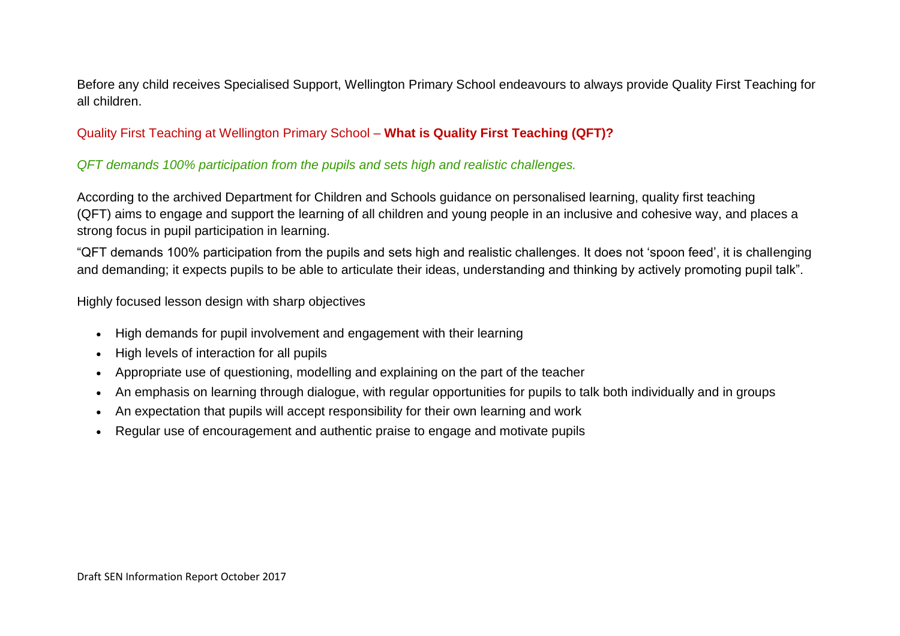Before any child receives Specialised Support, Wellington Primary School endeavours to always provide Quality First Teaching for all children.

## Quality First Teaching at Wellington Primary School – **What is Quality First Teaching (QFT)?**

## *QFT demands 100% participation from the pupils and sets high and realistic challenges.*

According to the archived Department for Children and Schools guidance on personalised learning, quality first teaching (QFT) aims to engage and support the learning of all children and young people in an inclusive and cohesive way, and places a strong focus in pupil participation in learning.

"QFT demands 100% participation from the pupils and sets high and realistic challenges. It does not 'spoon feed', it is challenging and demanding; it expects pupils to be able to articulate their ideas, understanding and thinking by actively promoting pupil talk".

Highly focused lesson design with sharp objectives

- High demands for pupil involvement and engagement with their learning
- High levels of interaction for all pupils
- Appropriate use of questioning, modelling and explaining on the part of the teacher
- An emphasis on learning through dialogue, with regular opportunities for pupils to talk both individually and in groups
- An expectation that pupils will accept responsibility for their own learning and work
- Regular use of encouragement and authentic praise to engage and motivate pupils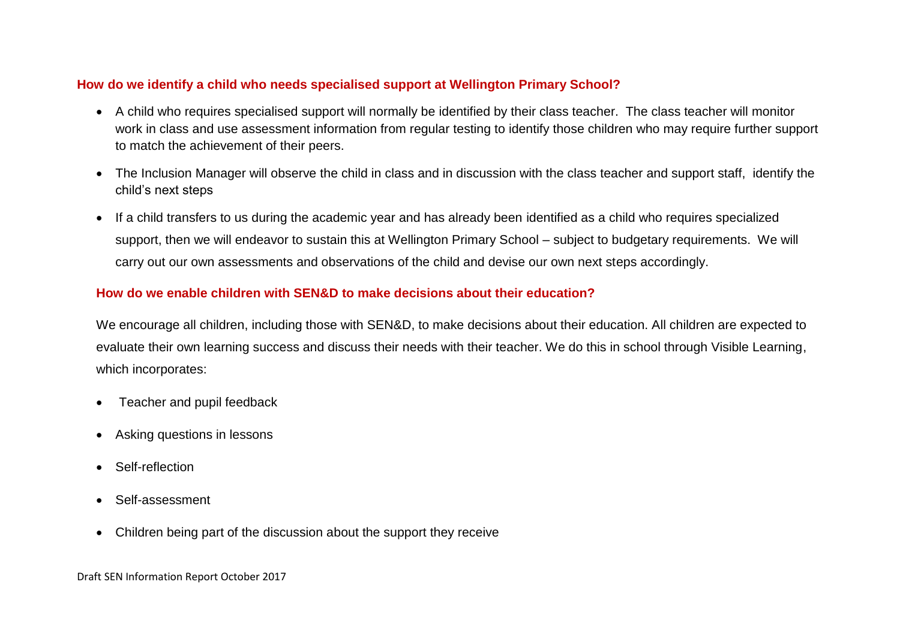### **How do we identify a child who needs specialised support at Wellington Primary School?**

- A child who requires specialised support will normally be identified by their class teacher. The class teacher will monitor work in class and use assessment information from regular testing to identify those children who may require further support to match the achievement of their peers.
- The Inclusion Manager will observe the child in class and in discussion with the class teacher and support staff, identify the child's next steps
- If a child transfers to us during the academic year and has already been identified as a child who requires specialized support, then we will endeavor to sustain this at Wellington Primary School – subject to budgetary requirements. We will carry out our own assessments and observations of the child and devise our own next steps accordingly.

### **How do we enable children with SEN&D to make decisions about their education?**

We encourage all children, including those with SEN&D, to make decisions about their education. All children are expected to evaluate their own learning success and discuss their needs with their teacher. We do this in school through Visible Learning, which incorporates:

- Teacher and pupil feedback
- Asking questions in lessons
- Self-reflection
- Self-assessment
- Children being part of the discussion about the support they receive

Draft SEN Information Report October 2017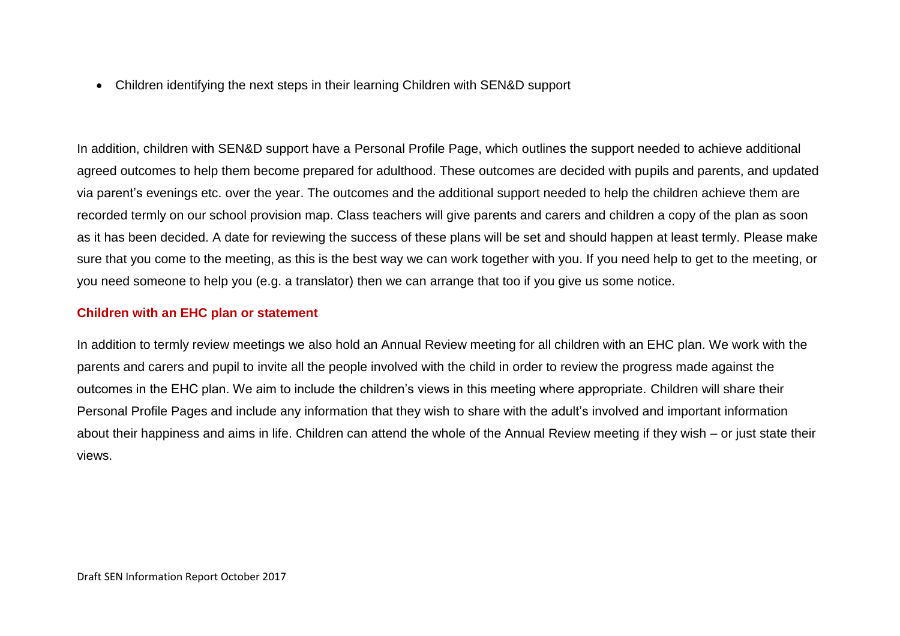Children identifying the next steps in their learning Children with SEN&D support

In addition, children with SEN&D support have a Personal Profile Page, which outlines the support needed to achieve additional agreed outcomes to help them become prepared for adulthood. These outcomes are decided with pupils and parents, and updated via parent's evenings etc. over the year. The outcomes and the additional support needed to help the children achieve them are recorded termly on our school provision map. Class teachers will give parents and carers and children a copy of the plan as soon as it has been decided. A date for reviewing the success of these plans will be set and should happen at least termly. Please make sure that you come to the meeting, as this is the best way we can work together with you. If you need help to get to the meeting, or you need someone to help you (e.g. a translator) then we can arrange that too if you give us some notice.

### **Children with an EHC plan or statement**

In addition to termly review meetings we also hold an Annual Review meeting for all children with an EHC plan. We work with the parents and carers and pupil to invite all the people involved with the child in order to review the progress made against the outcomes in the EHC plan. We aim to include the children's views in this meeting where appropriate. Children will share their Personal Profile Pages and include any information that they wish to share with the adult's involved and important information about their happiness and aims in life. Children can attend the whole of the Annual Review meeting if they wish – or just state their views.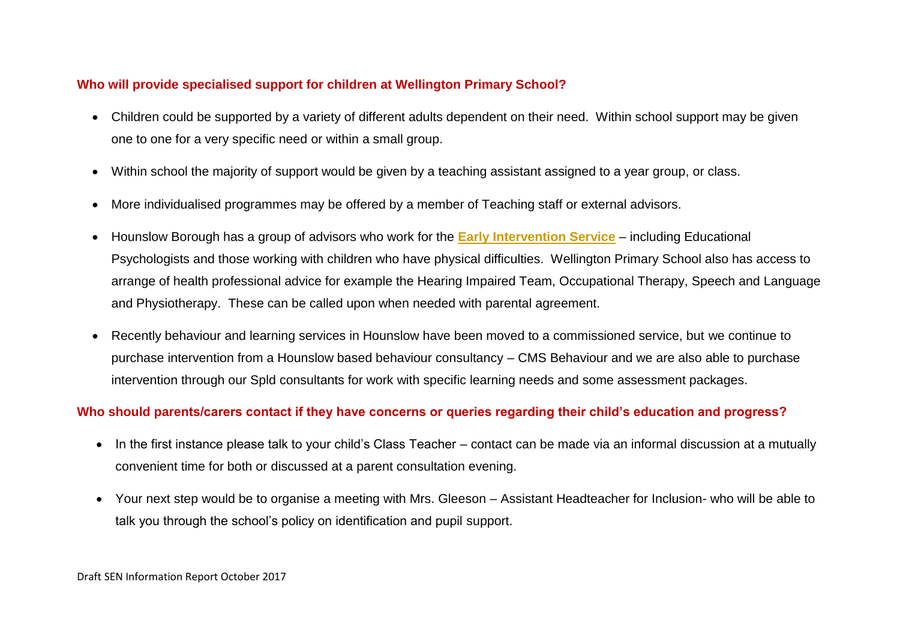### **Who will provide specialised support for children at Wellington Primary School?**

- Children could be supported by a variety of different adults dependent on their need. Within school support may be given one to one for a very specific need or within a small group.
- Within school the majority of support would be given by a teaching assistant assigned to a year group, or class.
- More individualised programmes may be offered by a member of Teaching staff or external advisors.
- Hounslow Borough has a group of advisors who work for the **[Early Intervention Service](http://www.hounslow.gov.uk/eis_booklet__final_.pdf)** including Educational Psychologists and those working with children who have physical difficulties. Wellington Primary School also has access to arrange of health professional advice for example the Hearing Impaired Team, Occupational Therapy, Speech and Language and Physiotherapy. These can be called upon when needed with parental agreement.
- Recently behaviour and learning services in Hounslow have been moved to a commissioned service, but we continue to purchase intervention from a Hounslow based behaviour consultancy – CMS Behaviour and we are also able to purchase intervention through our Spld consultants for work with specific learning needs and some assessment packages.

### **Who should parents/carers contact if they have concerns or queries regarding their child's education and progress?**

- In the first instance please talk to your child's Class Teacher contact can be made via an informal discussion at a mutually convenient time for both or discussed at a parent consultation evening.
- Your next step would be to organise a meeting with Mrs. Gleeson Assistant Headteacher for Inclusion- who will be able to talk you through the school's policy on identification and pupil support.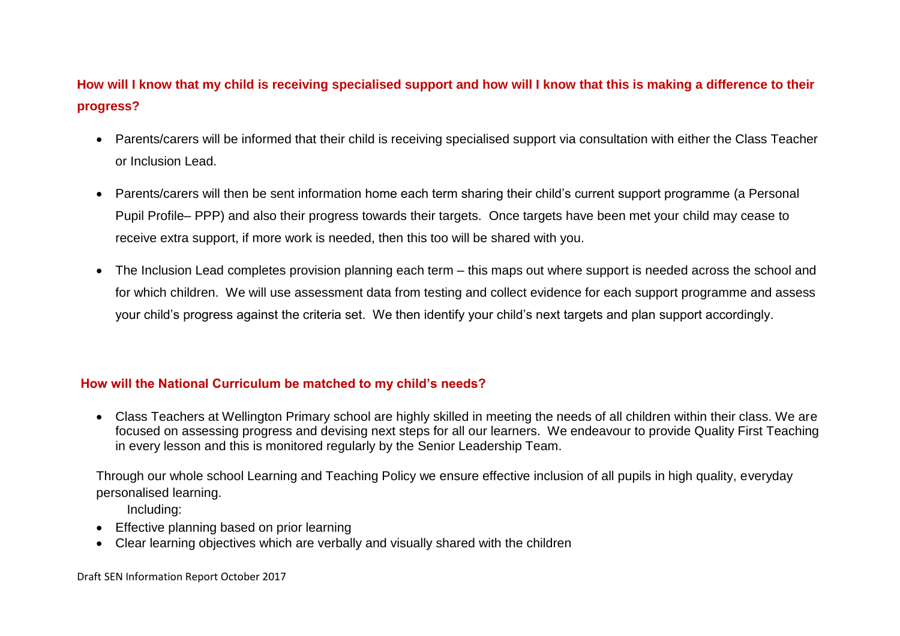# **How will I know that my child is receiving specialised support and how will I know that this is making a difference to their progress?**

- Parents/carers will be informed that their child is receiving specialised support via consultation with either the Class Teacher or Inclusion Lead.
- Parents/carers will then be sent information home each term sharing their child's current support programme (a Personal Pupil Profile– PPP) and also their progress towards their targets. Once targets have been met your child may cease to receive extra support, if more work is needed, then this too will be shared with you.
- The Inclusion Lead completes provision planning each term this maps out where support is needed across the school and for which children. We will use assessment data from testing and collect evidence for each support programme and assess your child's progress against the criteria set. We then identify your child's next targets and plan support accordingly.

### **How will the National Curriculum be matched to my child's needs?**

 Class Teachers at Wellington Primary school are highly skilled in meeting the needs of all children within their class. We are focused on assessing progress and devising next steps for all our learners. We endeavour to provide Quality First Teaching in every lesson and this is monitored regularly by the Senior Leadership Team.

Through our whole school Learning and Teaching Policy we ensure effective inclusion of all pupils in high quality, everyday personalised learning.

Including:

- Effective planning based on prior learning
- Clear learning objectives which are verbally and visually shared with the children

Draft SEN Information Report October 2017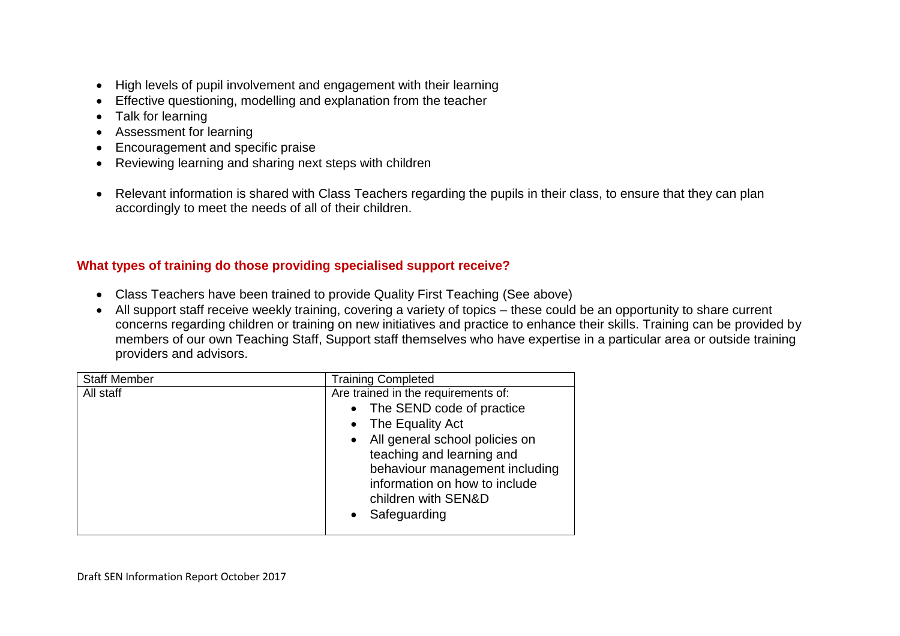- High levels of pupil involvement and engagement with their learning
- Effective questioning, modelling and explanation from the teacher
- Talk for learning
- Assessment for learning
- Encouragement and specific praise
- Reviewing learning and sharing next steps with children
- Relevant information is shared with Class Teachers regarding the pupils in their class, to ensure that they can plan accordingly to meet the needs of all of their children.

### **What types of training do those providing specialised support receive?**

- Class Teachers have been trained to provide Quality First Teaching (See above)
- All support staff receive weekly training, covering a variety of topics these could be an opportunity to share current concerns regarding children or training on new initiatives and practice to enhance their skills. Training can be provided by members of our own Teaching Staff, Support staff themselves who have expertise in a particular area or outside training providers and advisors.

| <b>Staff Member</b> | <b>Training Completed</b>           |
|---------------------|-------------------------------------|
| All staff           | Are trained in the requirements of: |
|                     | • The SEND code of practice         |
|                     | • The Equality Act                  |
|                     | • All general school policies on    |
|                     | teaching and learning and           |
|                     | behaviour management including      |
|                     | information on how to include       |
|                     | children with SEN&D                 |
|                     | Safeguarding<br>$\bullet$           |
|                     |                                     |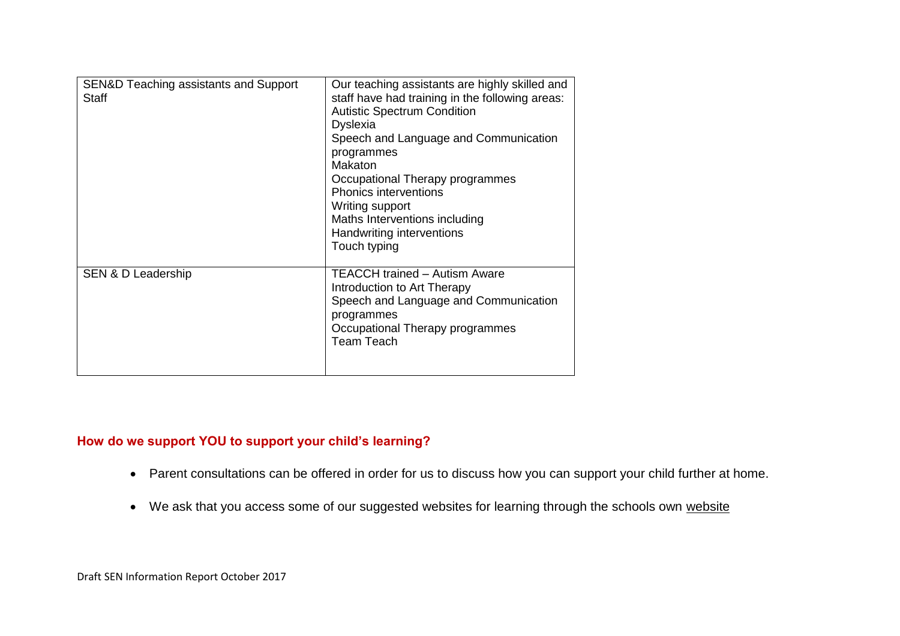| SEN&D Teaching assistants and Support<br>Staff | Our teaching assistants are highly skilled and<br>staff have had training in the following areas:<br><b>Autistic Spectrum Condition</b><br><b>Dyslexia</b><br>Speech and Language and Communication<br>programmes<br>Makaton<br>Occupational Therapy programmes<br><b>Phonics interventions</b><br>Writing support<br>Maths Interventions including<br>Handwriting interventions<br>Touch typing |
|------------------------------------------------|--------------------------------------------------------------------------------------------------------------------------------------------------------------------------------------------------------------------------------------------------------------------------------------------------------------------------------------------------------------------------------------------------|
| SEN & D Leadership                             | TEACCH trained - Autism Aware<br>Introduction to Art Therapy<br>Speech and Language and Communication<br>programmes<br>Occupational Therapy programmes<br><b>Team Teach</b>                                                                                                                                                                                                                      |

# **How do we support YOU to support your child's learning?**

- Parent consultations can be offered in order for us to discuss how you can support your child further at home.
- We ask that you access some of our suggested [website](http://www.connectedup.com/wellington/)s for learning through the schools own website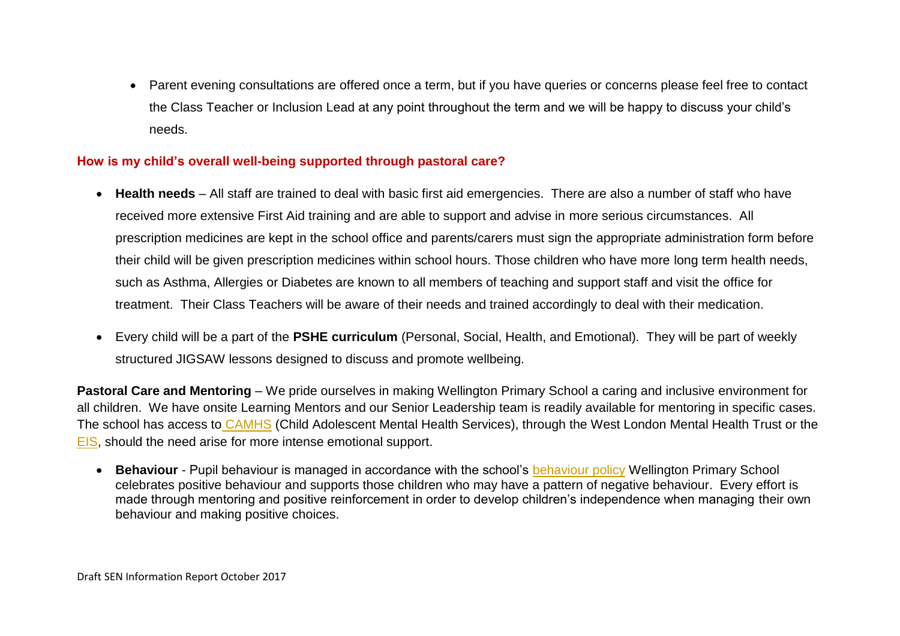Parent evening consultations are offered once a term, but if you have queries or concerns please feel free to contact the Class Teacher or Inclusion Lead at any point throughout the term and we will be happy to discuss your child's needs.

### **How is my child's overall well-being supported through pastoral care?**

- **Health needs** All staff are trained to deal with basic first aid emergencies. There are also a number of staff who have received more extensive First Aid training and are able to support and advise in more serious circumstances. All prescription medicines are kept in the school office and parents/carers must sign the appropriate administration form before their child will be given prescription medicines within school hours. Those children who have more long term health needs, such as Asthma, Allergies or Diabetes are known to all members of teaching and support staff and visit the office for treatment. Their Class Teachers will be aware of their needs and trained accordingly to deal with their medication.
- Every child will be a part of the **PSHE curriculum** (Personal, Social, Health, and Emotional). They will be part of weekly structured JIGSAW lessons designed to discuss and promote wellbeing.

**Pastoral Care and Mentoring** – We pride ourselves in making Wellington Primary School a caring and inclusive environment for all children. We have onsite Learning Mentors and our Senior Leadership team is readily available for mentoring in specific cases. The school has access to [CAMHS](http://www.wlmht.nhs.uk/service/camhs-hounslow/) (Child Adolescent Mental Health Services), through the West London Mental Health Trust or the [EIS,](http://www.hounslow.gov.uk/eis_booklet__final_.pdf) should the need arise for more intense emotional support.

 **Behaviour** - Pupil behaviour is managed in accordance with the school's [behaviour policy](http://www.connectedup.com/wellington/behaviourpolicy.html) Wellington Primary School celebrates positive behaviour and supports those children who may have a pattern of negative behaviour. Every effort is made through mentoring and positive reinforcement in order to develop children's independence when managing their own behaviour and making positive choices.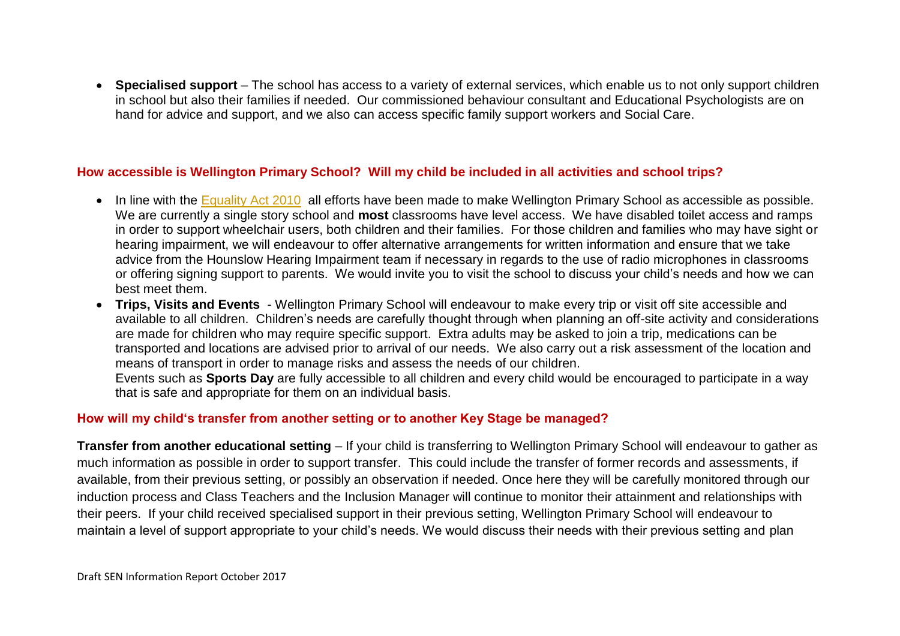**Specialised support** – The school has access to a variety of external services, which enable us to not only support children in school but also their families if needed. Our commissioned behaviour consultant and Educational Psychologists are on hand for advice and support, and we also can access specific family support workers and Social Care.

### **How accessible is Wellington Primary School? Will my child be included in all activities and school trips?**

- In line with the [Equality Act 2010](https://www.gov.uk/government/uploads/system/uploads/attachment_data/file/315587/Equality_Act_Advice_Final.pdf) all efforts have been made to make Wellington Primary School as accessible as possible. We are currently a single story school and **most** classrooms have level access. We have disabled toilet access and ramps in order to support wheelchair users, both children and their families. For those children and families who may have sight or hearing impairment, we will endeavour to offer alternative arrangements for written information and ensure that we take advice from the Hounslow Hearing Impairment team if necessary in regards to the use of radio microphones in classrooms or offering signing support to parents. We would invite you to visit the school to discuss your child's needs and how we can best meet them.
- **Trips, Visits and Events** Wellington Primary School will endeavour to make every trip or visit off site accessible and available to all children. Children's needs are carefully thought through when planning an off-site activity and considerations are made for children who may require specific support. Extra adults may be asked to join a trip, medications can be transported and locations are advised prior to arrival of our needs. We also carry out a risk assessment of the location and means of transport in order to manage risks and assess the needs of our children. Events such as **Sports Day** are fully accessible to all children and every child would be encouraged to participate in a way that is safe and appropriate for them on an individual basis.

### **How will my child's transfer from another setting or to another Key Stage be managed?**

**Transfer from another educational setting** – If your child is transferring to Wellington Primary School will endeavour to gather as much information as possible in order to support transfer. This could include the transfer of former records and assessments, if available, from their previous setting, or possibly an observation if needed. Once here they will be carefully monitored through our induction process and Class Teachers and the Inclusion Manager will continue to monitor their attainment and relationships with their peers. If your child received specialised support in their previous setting, Wellington Primary School will endeavour to maintain a level of support appropriate to your child's needs. We would discuss their needs with their previous setting and plan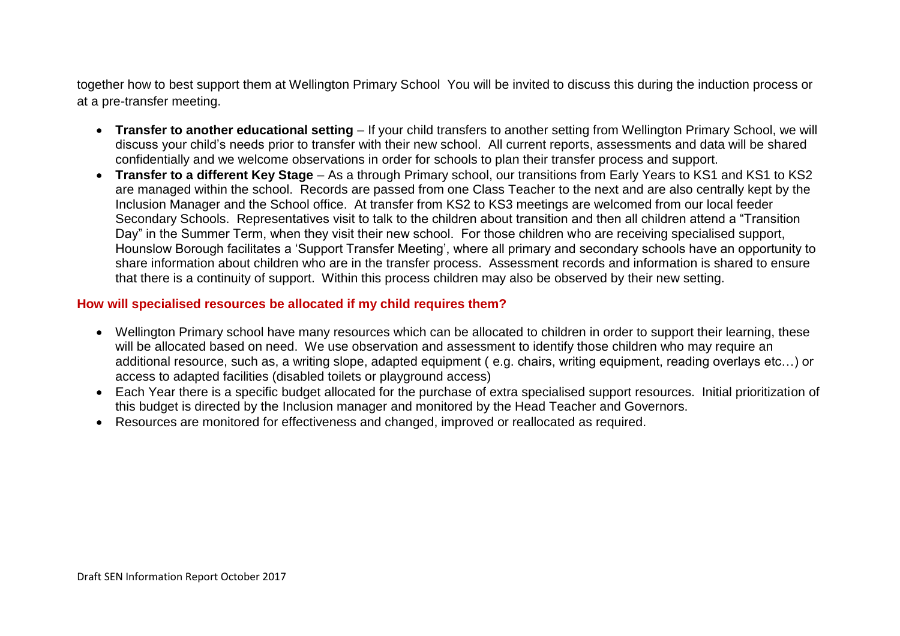together how to best support them at Wellington Primary School You will be invited to discuss this during the induction process or at a pre-transfer meeting.

- **Transfer to another educational setting**  If your child transfers to another setting from Wellington Primary School, we will discuss your child's needs prior to transfer with their new school. All current reports, assessments and data will be shared confidentially and we welcome observations in order for schools to plan their transfer process and support.
- **Transfer to a different Key Stage**  As a through Primary school, our transitions from Early Years to KS1 and KS1 to KS2 are managed within the school. Records are passed from one Class Teacher to the next and are also centrally kept by the Inclusion Manager and the School office. At transfer from KS2 to KS3 meetings are welcomed from our local feeder Secondary Schools. Representatives visit to talk to the children about transition and then all children attend a "Transition Day" in the Summer Term, when they visit their new school. For those children who are receiving specialised support, Hounslow Borough facilitates a 'Support Transfer Meeting', where all primary and secondary schools have an opportunity to share information about children who are in the transfer process. Assessment records and information is shared to ensure that there is a continuity of support. Within this process children may also be observed by their new setting.

#### **How will specialised resources be allocated if my child requires them?**

- Wellington Primary school have many resources which can be allocated to children in order to support their learning, these will be allocated based on need. We use observation and assessment to identify those children who may require an additional resource, such as, a writing slope, adapted equipment ( e.g. chairs, writing equipment, reading overlays etc…) or access to adapted facilities (disabled toilets or playground access)
- Each Year there is a specific budget allocated for the purchase of extra specialised support resources. Initial prioritization of this budget is directed by the Inclusion manager and monitored by the Head Teacher and Governors.
- Resources are monitored for effectiveness and changed, improved or reallocated as required.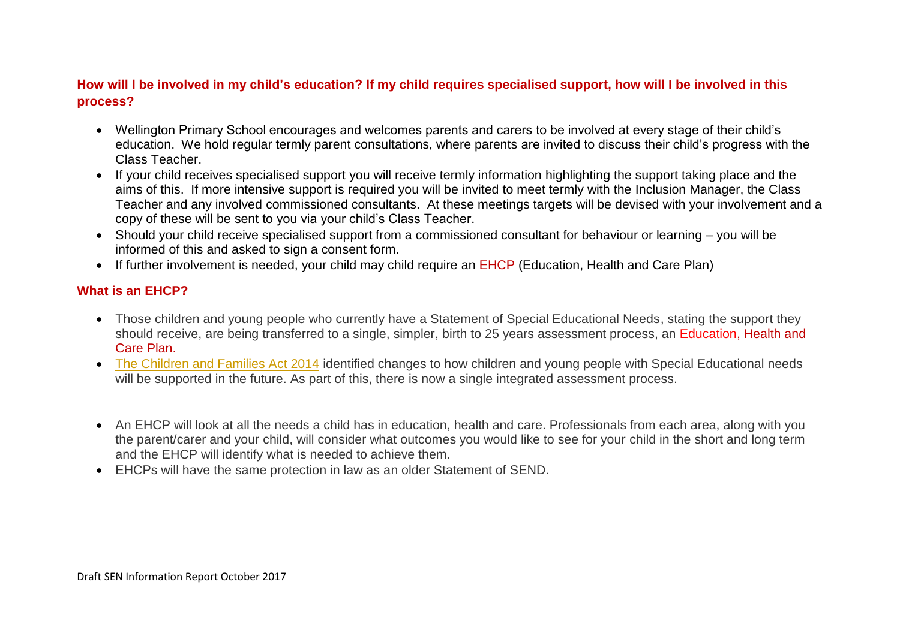### **How will I be involved in my child's education? If my child requires specialised support, how will I be involved in this process?**

- Wellington Primary School encourages and welcomes parents and carers to be involved at every stage of their child's education. We hold regular termly parent consultations, where parents are invited to discuss their child's progress with the Class Teacher.
- If your child receives specialised support you will receive termly information highlighting the support taking place and the aims of this. If more intensive support is required you will be invited to meet termly with the Inclusion Manager, the Class Teacher and any involved commissioned consultants. At these meetings targets will be devised with your involvement and a copy of these will be sent to you via your child's Class Teacher.
- Should your child receive specialised support from a commissioned consultant for behaviour or learning you will be informed of this and asked to sign a consent form.
- If further involvement is needed, your child may child require an EHCP (Education, Health and Care Plan)

### **What is an EHCP?**

- Those children and young people who currently have a Statement of Special Educational Needs, stating the support they should receive, are being transferred to a single, simpler, birth to 25 years assessment process, an Education, Health and Care Plan.
- [The Children and Families Act 2014](http://www.legislation.gov.uk/ukpga/2014/6/pdfs/ukpga_20140006_en.pdf) identified changes to how children and young people with Special Educational needs will be supported in the future. As part of this, there is now a single integrated assessment process.
- An EHCP will look at all the needs a child has in education, health and care. Professionals from each area, along with you the parent/carer and your child, will consider what outcomes you would like to see for your child in the short and long term and the EHCP will identify what is needed to achieve them.
- EHCPs will have the same protection in law as an older Statement of SEND.